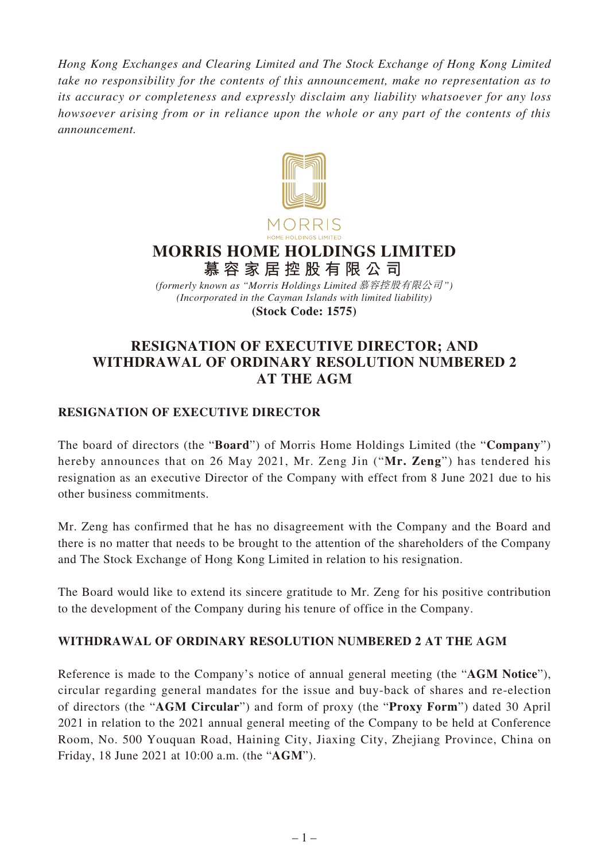*Hong Kong Exchanges and Clearing Limited and The Stock Exchange of Hong Kong Limited take no responsibility for the contents of this announcement, make no representation as to its accuracy or completeness and expressly disclaim any liability whatsoever for any loss howsoever arising from or in reliance upon the whole or any part of the contents of this announcement.*



## **MORRIS HOME HOLDINGS LIMITED 慕容家居控股有限公司**

*(Incorporated in the Cayman Islands with limited liability)* **(Stock Code: 1575)** *(formerly known as "Morris Holdings Limited* 慕容控股有限公司*")*

## **RESIGNATION OF EXECUTIVE DIRECTOR; AND WITHDRAWAL OF ORDINARY RESOLUTION NUMBERED 2 AT THE AGM**

## **RESIGNATION OF EXECUTIVE DIRECTOR**

The board of directors (the "**Board**") of Morris Home Holdings Limited (the "**Company**") hereby announces that on 26 May 2021, Mr. Zeng Jin ("**Mr. Zeng**") has tendered his resignation as an executive Director of the Company with effect from 8 June 2021 due to his other business commitments.

Mr. Zeng has confirmed that he has no disagreement with the Company and the Board and there is no matter that needs to be brought to the attention of the shareholders of the Company and The Stock Exchange of Hong Kong Limited in relation to his resignation.

The Board would like to extend its sincere gratitude to Mr. Zeng for his positive contribution to the development of the Company during his tenure of office in the Company.

## **WITHDRAWAL OF ORDINARY RESOLUTION NUMBERED 2 AT THE AGM**

Reference is made to the Company's notice of annual general meeting (the "**AGM Notice**"), circular regarding general mandates for the issue and buy-back of shares and re-election of directors (the "**AGM Circular**") and form of proxy (the "**Proxy Form**") dated 30 April 2021 in relation to the 2021 annual general meeting of the Company to be held at Conference Room, No. 500 Youquan Road, Haining City, Jiaxing City, Zhejiang Province, China on Friday, 18 June 2021 at 10:00 a.m. (the "**AGM**").